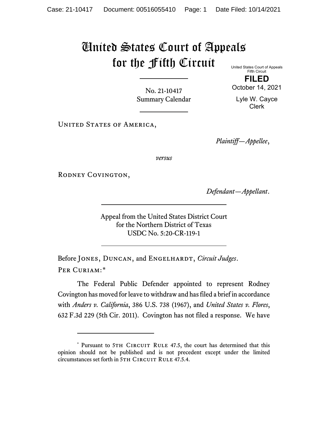## United States Court of Appeals for the Fifth Circuit

United States Court of Appeals Fifth Circuit

**FILED** October 14, 2021

No. 21-10417 Summary Calendar

Lyle W. Cayce Clerk

UNITED STATES OF AMERICA,

*Plaintiff—Appellee*,

*versus*

RODNEY COVINGTON,

*Defendant—Appellant*.

Appeal from the United States District Court for the Northern District of Texas USDC No. 5:20-CR-119-1

Before JONES, DUNCAN, and ENGELHARDT, *Circuit Judges*. Per Curiam:[\\*](#page-0-0)

The Federal Public Defender appointed to represent Rodney Covington has moved for leave to withdraw and has filed a brief in accordance with *Anders v. California*, 386 U.S. 738 (1967), and *United States v. Flores*, 632 F.3d 229 (5th Cir. 2011). Covington has not filed a response. We have

<span id="page-0-0"></span><sup>\*</sup> Pursuant to 5TH CIRCUIT RULE 47.5, the court has determined that this opinion should not be published and is not precedent except under the limited circumstances set forth in 5TH CIRCUIT RULE 47.5.4.